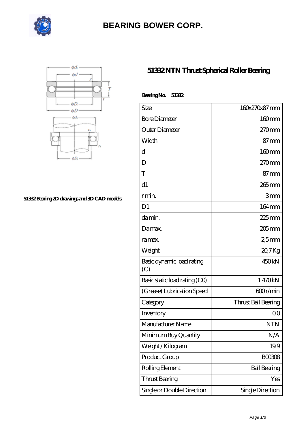

# **[BEARING BOWER CORP.](https://ballersunited.org)**



#### **[51332 Bearing 2D drawings and 3D CAD models](https://ballersunited.org/pic-1037178.html)**

### **[51332 NTN Thrust Spherical Roller Bearing](https://ballersunited.org/thrust-tapered-roller-bearing/51332.html)**

| BearingNo.<br>51332              |                     |
|----------------------------------|---------------------|
| Size                             | 160x270x87mm        |
| <b>Bore Diameter</b>             | 160mm               |
| Outer Diameter                   | $270$ mm            |
| Width                            | $87 \text{mm}$      |
| $\mathbf d$                      | $160$ mm            |
| D                                | $270$ mm            |
| T                                | $87 \text{mm}$      |
| d1                               | $265$ mm            |
| r min.                           | 3mm                 |
| D <sub>1</sub>                   | 164mm               |
| da min.                          | $225$ mm            |
| Damax.                           | $205$ mm            |
| ra max.                          | 25mm                |
| Weight                           | 20,7Kg              |
| Basic dynamic load rating<br>(C) | 450 <sub>kN</sub>   |
| Basic static load rating (CO)    | 1470kN              |
| (Grease) Lubrication Speed       | 600r/min            |
| Category                         | Thrust Ball Bearing |
| Inventory                        | 0 <sup>0</sup>      |
| Manufacturer Name                | <b>NTN</b>          |
| Minimum Buy Quantity             | N/A                 |
| Weight/Kilogram                  | 19.9                |
| Product Group                    | <b>BOO3O8</b>       |
| Rolling Element                  | <b>Ball Bearing</b> |
| Thrust Bearing                   | Yes                 |
| Single or Double Direction       | Single Direction    |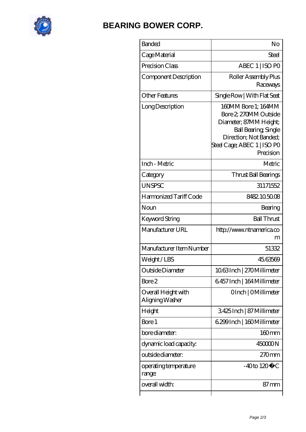

# **[BEARING BOWER CORP.](https://ballersunited.org)**

| <b>Banded</b>                          | No                                                                                                                                                                   |
|----------------------------------------|----------------------------------------------------------------------------------------------------------------------------------------------------------------------|
| Cage Material                          | Steel                                                                                                                                                                |
| Precision Class                        | ABEC 1   ISO PO                                                                                                                                                      |
| Component Description                  | Roller Assembly Plus<br>Raceways                                                                                                                                     |
| <b>Other Features</b>                  | Single Row   With Flat Seat                                                                                                                                          |
| Long Description                       | 160MM Bore 1; 164MM<br>Bore 2, 270MM Outside<br>Diameter; 87MM Height;<br>Ball Bearing, Single<br>Direction; Not Banded;<br>Steel Cage; ABEC 1   ISO PO<br>Precision |
| Inch - Metric                          | Metric                                                                                                                                                               |
| Category                               | Thrust Ball Bearings                                                                                                                                                 |
| <b>UNSPSC</b>                          | 31171552                                                                                                                                                             |
| Harmonized Tariff Code                 | 8482105008                                                                                                                                                           |
| Noun                                   | Bearing                                                                                                                                                              |
| Keyword String                         | <b>Ball Thrust</b>                                                                                                                                                   |
| Manufacturer URL                       | http://www.ntnamerica.co<br>m                                                                                                                                        |
| Manufacturer Item Number               | 51332                                                                                                                                                                |
| Weight/LBS                             | 45,63569                                                                                                                                                             |
| Outside Diameter                       | 1063Inch   270Millimeter                                                                                                                                             |
| Bore 2                                 | 6457 Inch   164 Millimeter                                                                                                                                           |
| Overall Height with<br>Aligning Washer | OInch   OMillimeter                                                                                                                                                  |
| Height                                 | 3425Inch   87 Millimeter                                                                                                                                             |
| Bore 1                                 | 6.299 Inch   160 Millimeter                                                                                                                                          |
| bore diameter:                         | $160$ mm                                                                                                                                                             |
| dynamic load capacity:                 | 45000N                                                                                                                                                               |
| outside diameter:                      | 270mm                                                                                                                                                                |
| operating temperature<br>range:        | $-40$ to $120^{\circ}$ C                                                                                                                                             |
| overall width:                         | 87 mm                                                                                                                                                                |
|                                        |                                                                                                                                                                      |